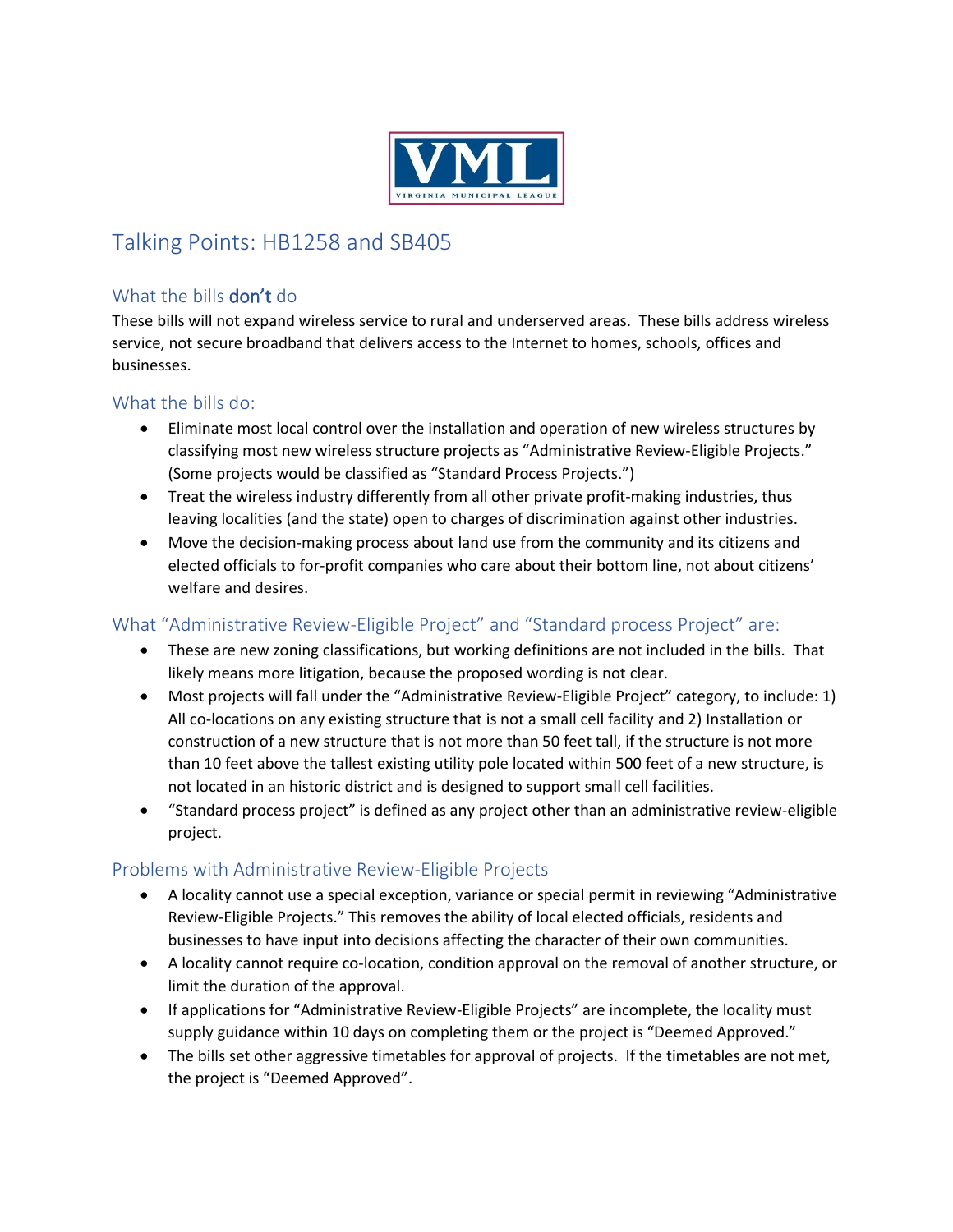

# Talking Points: HB1258 and SB405

## What the bills don't do

These bills will not expand wireless service to rural and underserved areas. These bills address wireless service, not secure broadband that delivers access to the Internet to homes, schools, offices and businesses.

#### What the bills do:

- Eliminate most local control over the installation and operation of new wireless structures by classifying most new wireless structure projects as "Administrative Review-Eligible Projects." (Some projects would be classified as "Standard Process Projects.")
- Treat the wireless industry differently from all other private profit-making industries, thus leaving localities (and the state) open to charges of discrimination against other industries.
- Move the decision-making process about land use from the community and its citizens and elected officials to for-profit companies who care about their bottom line, not about citizens' welfare and desires.

## What "Administrative Review-Eligible Project" and "Standard process Project" are:

- These are new zoning classifications, but working definitions are not included in the bills. That likely means more litigation, because the proposed wording is not clear.
- Most projects will fall under the "Administrative Review-Eligible Project" category, to include: 1) All co-locations on any existing structure that is not a small cell facility and 2) Installation or construction of a new structure that is not more than 50 feet tall, if the structure is not more than 10 feet above the tallest existing utility pole located within 500 feet of a new structure, is not located in an historic district and is designed to support small cell facilities.
- "Standard process project" is defined as any project other than an administrative review-eligible project.

#### Problems with Administrative Review-Eligible Projects

- A locality cannot use a special exception, variance or special permit in reviewing "Administrative Review-Eligible Projects." This removes the ability of local elected officials, residents and businesses to have input into decisions affecting the character of their own communities.
- A locality cannot require co-location, condition approval on the removal of another structure, or limit the duration of the approval.
- If applications for "Administrative Review-Eligible Projects" are incomplete, the locality must supply guidance within 10 days on completing them or the project is "Deemed Approved."
- The bills set other aggressive timetables for approval of projects. If the timetables are not met, the project is "Deemed Approved".